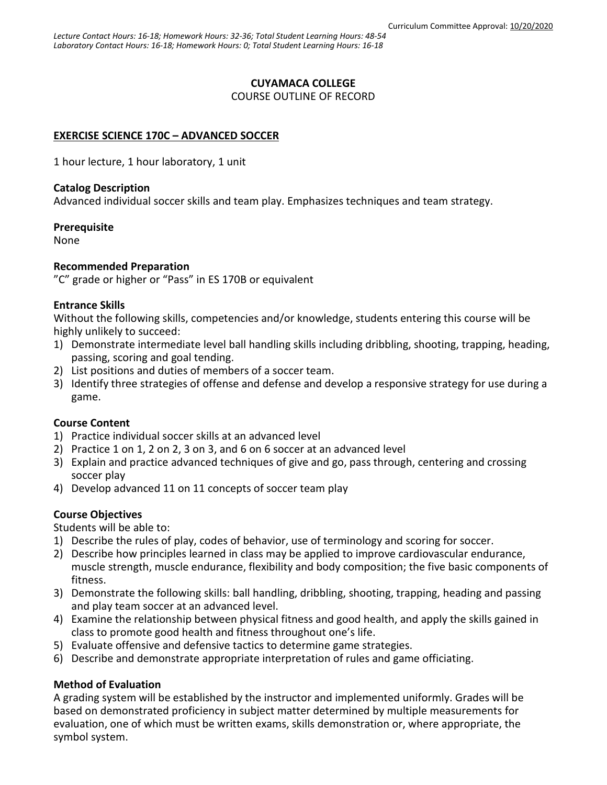### **CUYAMACA COLLEGE**

COURSE OUTLINE OF RECORD

# **EXERCISE SCIENCE 170C – ADVANCED SOCCER**

1 hour lecture, 1 hour laboratory, 1 unit

### **Catalog Description**

Advanced individual soccer skills and team play. Emphasizes techniques and team strategy.

#### **Prerequisite**

None

### **Recommended Preparation**

"C" grade or higher or "Pass" in ES 170B or equivalent

### **Entrance Skills**

Without the following skills, competencies and/or knowledge, students entering this course will be highly unlikely to succeed:

- 1) Demonstrate intermediate level ball handling skills including dribbling, shooting, trapping, heading, passing, scoring and goal tending.
- 2) List positions and duties of members of a soccer team.
- 3) Identify three strategies of offense and defense and develop a responsive strategy for use during a game.

# **Course Content**

- 1) Practice individual soccer skills at an advanced level
- 2) Practice 1 on 1, 2 on 2, 3 on 3, and 6 on 6 soccer at an advanced level
- 3) Explain and practice advanced techniques of give and go, pass through, centering and crossing soccer play
- 4) Develop advanced 11 on 11 concepts of soccer team play

# **Course Objectives**

Students will be able to:

- 1) Describe the rules of play, codes of behavior, use of terminology and scoring for soccer.
- 2) Describe how principles learned in class may be applied to improve cardiovascular endurance, muscle strength, muscle endurance, flexibility and body composition; the five basic components of fitness.
- 3) Demonstrate the following skills: ball handling, dribbling, shooting, trapping, heading and passing and play team soccer at an advanced level.
- 4) Examine the relationship between physical fitness and good health, and apply the skills gained in class to promote good health and fitness throughout one's life.
- 5) Evaluate offensive and defensive tactics to determine game strategies.
- 6) Describe and demonstrate appropriate interpretation of rules and game officiating.

# **Method of Evaluation**

A grading system will be established by the instructor and implemented uniformly. Grades will be based on demonstrated proficiency in subject matter determined by multiple measurements for evaluation, one of which must be written exams, skills demonstration or, where appropriate, the symbol system.